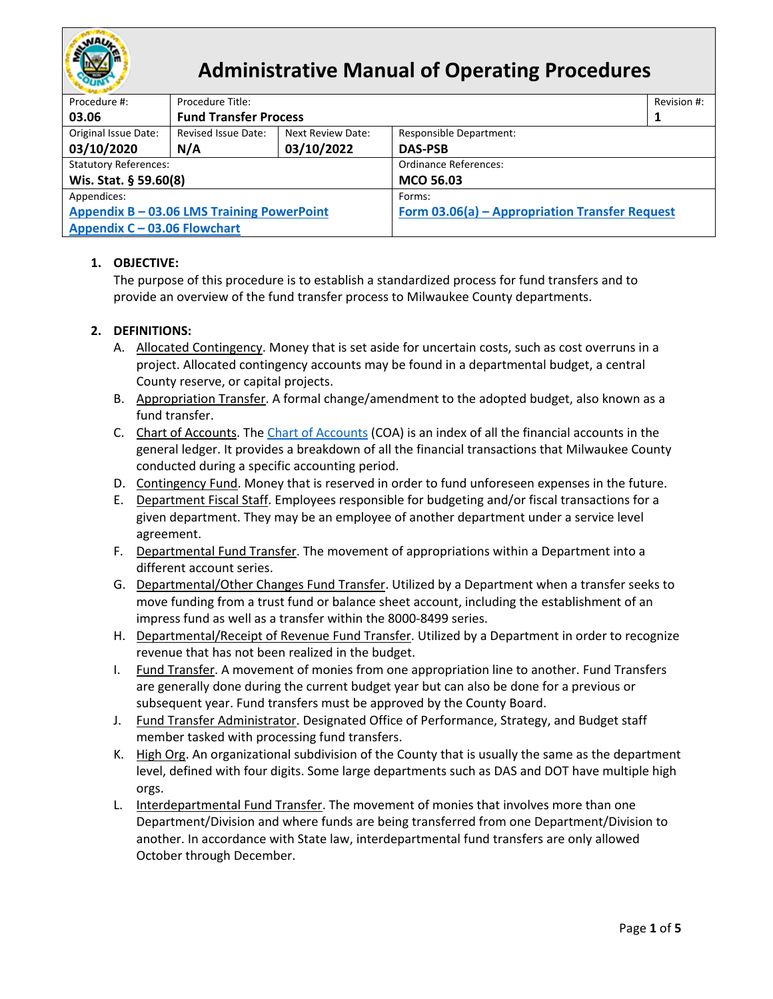

# **Administrative Manual of Operating Procedures**

| Procedure #:                               | Procedure Title:             |                          |                                                |  |  |
|--------------------------------------------|------------------------------|--------------------------|------------------------------------------------|--|--|
| 03.06                                      | <b>Fund Transfer Process</b> |                          |                                                |  |  |
| Original Issue Date:                       | Revised Issue Date:          | <b>Next Review Date:</b> | <b>Responsible Department:</b>                 |  |  |
| 03/10/2020                                 | N/A                          | 03/10/2022               | <b>DAS-PSB</b>                                 |  |  |
| <b>Statutory References:</b>               |                              |                          | <b>Ordinance References:</b>                   |  |  |
| Wis. Stat. § 59.60(8)                      |                              |                          | MCO 56.03                                      |  |  |
| Appendices:                                |                              |                          | Forms:                                         |  |  |
| Appendix B - 03.06 LMS Training PowerPoint |                              |                          | Form 03.06(a) - Appropriation Transfer Request |  |  |
| Appendix C - 03.06 Flowchart               |                              |                          |                                                |  |  |

## **1. OBJECTIVE:**

The purpose of this procedure is to establish a standardized process for fund transfers and to provide an overview of the fund transfer process to Milwaukee County departments.

#### **2. DEFINITIONS:**

- A. Allocated Contingency. Money that is set aside for uncertain costs, such as cost overruns in a project. Allocated contingency accounts may be found in a departmental budget, a central County reserve, or capital projects.
- B. Appropriation Transfer. A formal change/amendment to the adopted budget, also known as a fund transfer.
- C. Chart of Accounts. The [Chart of Accounts](https://prod.financialintranet.milwaukeecountywi.gov/MKEFinanceWeb/ChartOfAccounts/default.aspx) (COA) is an index of all the financial accounts in the general ledger. It provides a breakdown of all the financial transactions that Milwaukee County conducted during a specific accounting period.
- D. Contingency Fund. Money that is reserved in order to fund unforeseen expenses in the future.
- E. Department Fiscal Staff. Employees responsible for budgeting and/or fiscal transactions for a given department. They may be an employee of another department under a service level agreement.
- F. Departmental Fund Transfer. The movement of appropriations within a Department into a different account series.
- G. Departmental/Other Changes Fund Transfer. Utilized by a Department when a transfer seeks to move funding from a trust fund or balance sheet account, including the establishment of an impress fund as well as a transfer within the 8000-8499 series.
- H. Departmental/Receipt of Revenue Fund Transfer. Utilized by a Department in order to recognize revenue that has not been realized in the budget.
- I. Fund Transfer. A movement of monies from one appropriation line to another. Fund Transfers are generally done during the current budget year but can also be done for a previous or subsequent year. Fund transfers must be approved by the County Board.
- J. Fund Transfer Administrator. Designated Office of Performance, Strategy, and Budget staff member tasked with processing fund transfers.
- K. High Org. An organizational subdivision of the County that is usually the same as the department level, defined with four digits. Some large departments such as DAS and DOT have multiple high orgs.
- L. Interdepartmental Fund Transfer. The movement of monies that involves more than one Department/Division and where funds are being transferred from one Department/Division to another. In accordance with State law, interdepartmental fund transfers are only allowed October through December.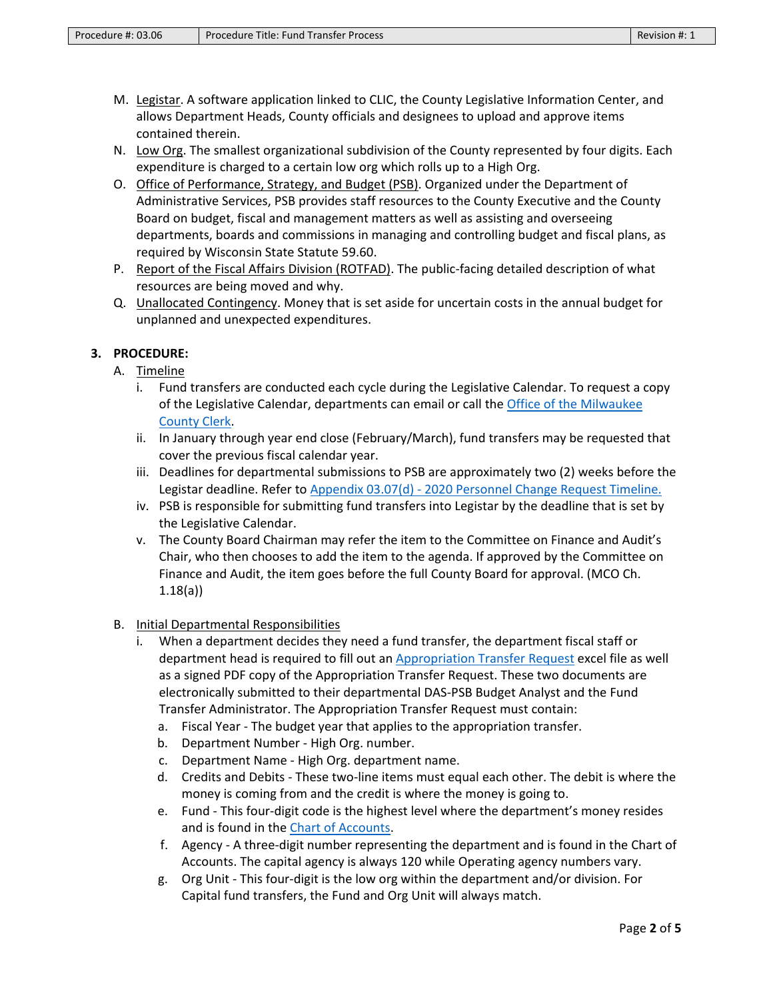- M. Legistar. A software application linked to CLIC, the County Legislative Information Center, and allows Department Heads, County officials and designees to upload and approve items contained therein.
- N. Low Org. The smallest organizational subdivision of the County represented by four digits. Each expenditure is charged to a certain low org which rolls up to a High Org.
- O. Office of Performance, Strategy, and Budget (PSB). Organized under the Department of Administrative Services, PSB provides staff resources to the County Executive and the County Board on budget, fiscal and management matters as well as assisting and overseeing departments, boards and commissions in managing and controlling budget and fiscal plans, as required by Wisconsin State Statute 59.60.
- P. Report of the Fiscal Affairs Division (ROTFAD). The public-facing detailed description of what resources are being moved and why.
- Q. Unallocated Contingency. Money that is set aside for uncertain costs in the annual budget for unplanned and unexpected expenditures.

## **3. PROCEDURE:**

- A. Timeline
	- i. Fund transfers are conducted each cycle during the Legislative Calendar. To request a copy of the Legislative Calendar, departments can email or call th[e Office of the Milwaukee](https://county.milwaukee.gov/EN/County-Clerk)  [County Clerk.](https://county.milwaukee.gov/EN/County-Clerk)
	- ii. In January through year end close (February/March), fund transfers may be requested that cover the previous fiscal calendar year.
	- iii. Deadlines for departmental submissions to PSB are approximately two (2) weeks before the Legistar deadline. Refer to Appendix 03.07(d) - [2020 Personnel Change Request Timeline.](https://county.milwaukee.gov/files/county/administrative-services/AMOP/Chapter-3-Budget--Financial-Transactions/Appendix03.07d-2020PersonnelChangeRequestTimeline.pdf)
	- iv. PSB is responsible for submitting fund transfers into Legistar by the deadline that is set by the Legislative Calendar.
	- v. The County Board Chairman may refer the item to the Committee on Finance and Audit's Chair, who then chooses to add the item to the agenda. If approved by the Committee on Finance and Audit, the item goes before the full County Board for approval. (MCO Ch. 1.18(a))

#### B. Initial Departmental Responsibilities

- i. When a department decides they need a fund transfer, the department fiscal staff or department head is required to fill out an [Appropriation Transfer Request](https://county.milwaukee.gov/files/county/administrative-services/AMOP/Chapter-3-Budget--Financial-Transactions/Form03.06a-AppropriationTransferRequest.xlsx) excel file as well as a signed PDF copy of the Appropriation Transfer Request. These two documents are electronically submitted to their departmental DAS-PSB Budget Analyst and the Fund Transfer Administrator. The Appropriation Transfer Request must contain:
	- a. Fiscal Year The budget year that applies to the appropriation transfer.
	- b. Department Number High Org. number.
	- c. Department Name High Org. department name.
	- d. Credits and Debits These two-line items must equal each other. The debit is where the money is coming from and the credit is where the money is going to.
	- e. Fund This four-digit code is the highest level where the department's money resides and is found in the [Chart of Accounts.](https://prod.financialintranet.milwaukeecountywi.gov/MKEFinanceWeb/ChartOfAccounts/default.aspx)
	- f. Agency A three-digit number representing the department and is found in the Chart of Accounts. The capital agency is always 120 while Operating agency numbers vary.
	- g. Org Unit This four-digit is the low org within the department and/or division. For Capital fund transfers, the Fund and Org Unit will always match.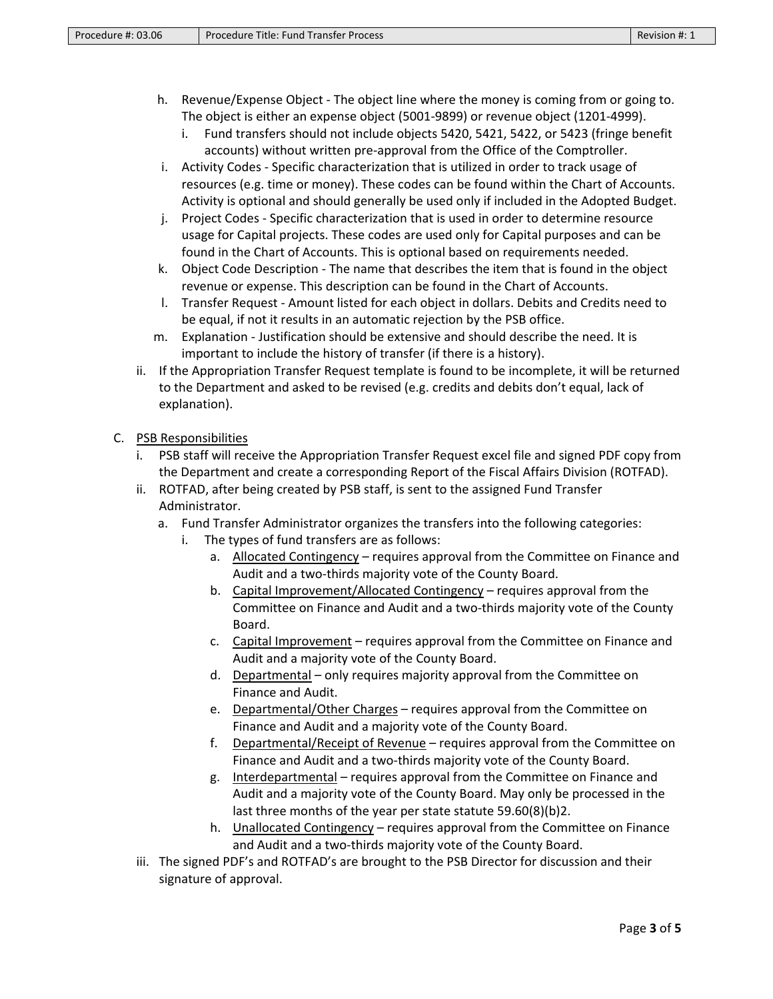- h. Revenue/Expense Object The object line where the money is coming from or going to. The object is either an expense object (5001-9899) or revenue object (1201-4999).
	- i. Fund transfers should not include objects 5420, 5421, 5422, or 5423 (fringe benefit accounts) without written pre-approval from the Office of the Comptroller.
- i. Activity Codes Specific characterization that is utilized in order to track usage of resources (e.g. time or money). These codes can be found within the Chart of Accounts. Activity is optional and should generally be used only if included in the Adopted Budget.
- j. Project Codes Specific characterization that is used in order to determine resource usage for Capital projects. These codes are used only for Capital purposes and can be found in the Chart of Accounts. This is optional based on requirements needed.
- k. Object Code Description The name that describes the item that is found in the object revenue or expense. This description can be found in the Chart of Accounts.
- l. Transfer Request Amount listed for each object in dollars. Debits and Credits need to be equal, if not it results in an automatic rejection by the PSB office.
- m. Explanation Justification should be extensive and should describe the need. It is important to include the history of transfer (if there is a history).
- ii. If the Appropriation Transfer Request template is found to be incomplete, it will be returned to the Department and asked to be revised (e.g. credits and debits don't equal, lack of explanation).
- C. PSB Responsibilities
	- i. PSB staff will receive the Appropriation Transfer Request excel file and signed PDF copy from the Department and create a corresponding Report of the Fiscal Affairs Division (ROTFAD).
	- ii. ROTFAD, after being created by PSB staff, is sent to the assigned Fund Transfer Administrator.
		- a. Fund Transfer Administrator organizes the transfers into the following categories:
			- i. The types of fund transfers are as follows:
				- a. Allocated Contingency requires approval from the Committee on Finance and Audit and a two-thirds majority vote of the County Board.
				- b. Capital Improvement/Allocated Contingency requires approval from the Committee on Finance and Audit and a two-thirds majority vote of the County Board.
				- c. Capital Improvement requires approval from the Committee on Finance and Audit and a majority vote of the County Board.
				- d. Departmental only requires majority approval from the Committee on Finance and Audit.
				- e. Departmental/Other Charges requires approval from the Committee on Finance and Audit and a majority vote of the County Board.
				- f. Departmental/Receipt of Revenue requires approval from the Committee on Finance and Audit and a two-thirds majority vote of the County Board.
				- g. Interdepartmental requires approval from the Committee on Finance and Audit and a majority vote of the County Board. May only be processed in the last three months of the year per state statute 59.60(8)(b)2.
				- h. Unallocated Contingency requires approval from the Committee on Finance and Audit and a two-thirds majority vote of the County Board.
	- iii. The signed PDF's and ROTFAD's are brought to the PSB Director for discussion and their signature of approval.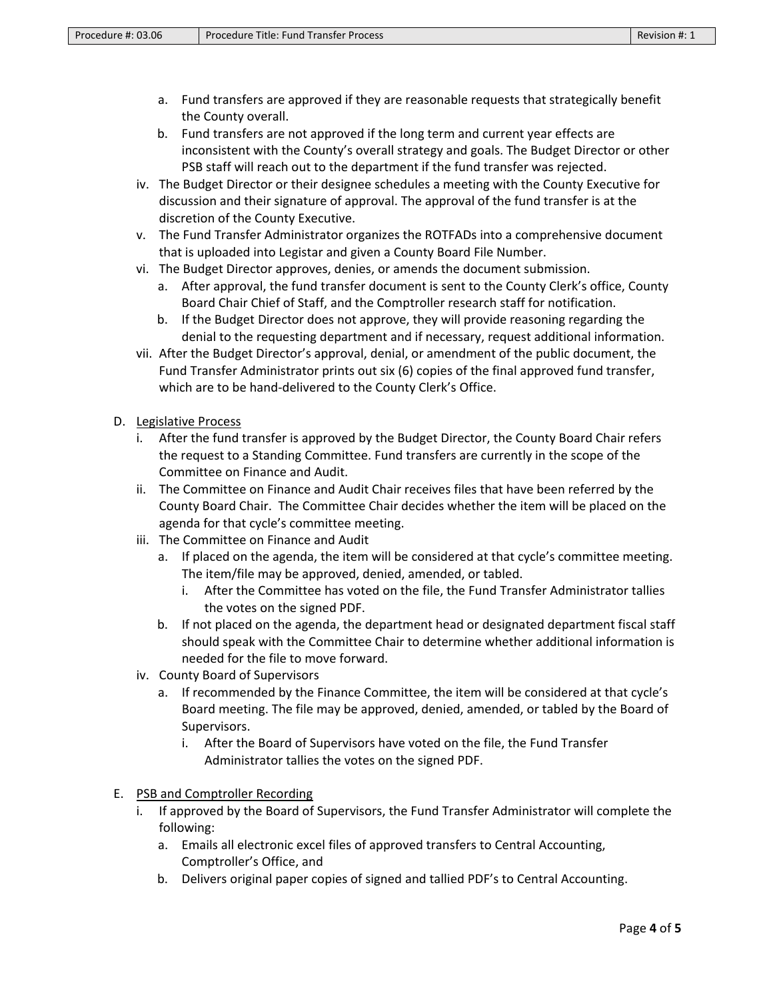- a. Fund transfers are approved if they are reasonable requests that strategically benefit the County overall.
- b. Fund transfers are not approved if the long term and current year effects are inconsistent with the County's overall strategy and goals. The Budget Director or other PSB staff will reach out to the department if the fund transfer was rejected.
- iv. The Budget Director or their designee schedules a meeting with the County Executive for discussion and their signature of approval. The approval of the fund transfer is at the discretion of the County Executive.
- v. The Fund Transfer Administrator organizes the ROTFADs into a comprehensive document that is uploaded into Legistar and given a County Board File Number.
- vi. The Budget Director approves, denies, or amends the document submission.
	- a. After approval, the fund transfer document is sent to the County Clerk's office, County Board Chair Chief of Staff, and the Comptroller research staff for notification.
	- b. If the Budget Director does not approve, they will provide reasoning regarding the denial to the requesting department and if necessary, request additional information.
- vii. After the Budget Director's approval, denial, or amendment of the public document, the Fund Transfer Administrator prints out six (6) copies of the final approved fund transfer, which are to be hand-delivered to the County Clerk's Office.
- D. Legislative Process
	- i. After the fund transfer is approved by the Budget Director, the County Board Chair refers the request to a Standing Committee. Fund transfers are currently in the scope of the Committee on Finance and Audit.
	- ii. The Committee on Finance and Audit Chair receives files that have been referred by the County Board Chair. The Committee Chair decides whether the item will be placed on the agenda for that cycle's committee meeting.
	- iii. The Committee on Finance and Audit
		- a. If placed on the agenda, the item will be considered at that cycle's committee meeting. The item/file may be approved, denied, amended, or tabled.
			- i. After the Committee has voted on the file, the Fund Transfer Administrator tallies the votes on the signed PDF.
		- b. If not placed on the agenda, the department head or designated department fiscal staff should speak with the Committee Chair to determine whether additional information is needed for the file to move forward.
	- iv. County Board of Supervisors
		- a. If recommended by the Finance Committee, the item will be considered at that cycle's Board meeting. The file may be approved, denied, amended, or tabled by the Board of Supervisors.
			- i. After the Board of Supervisors have voted on the file, the Fund Transfer Administrator tallies the votes on the signed PDF.
- E. PSB and Comptroller Recording
	- i. If approved by the Board of Supervisors, the Fund Transfer Administrator will complete the following:
		- a. Emails all electronic excel files of approved transfers to Central Accounting, Comptroller's Office, and
		- b. Delivers original paper copies of signed and tallied PDF's to Central Accounting.